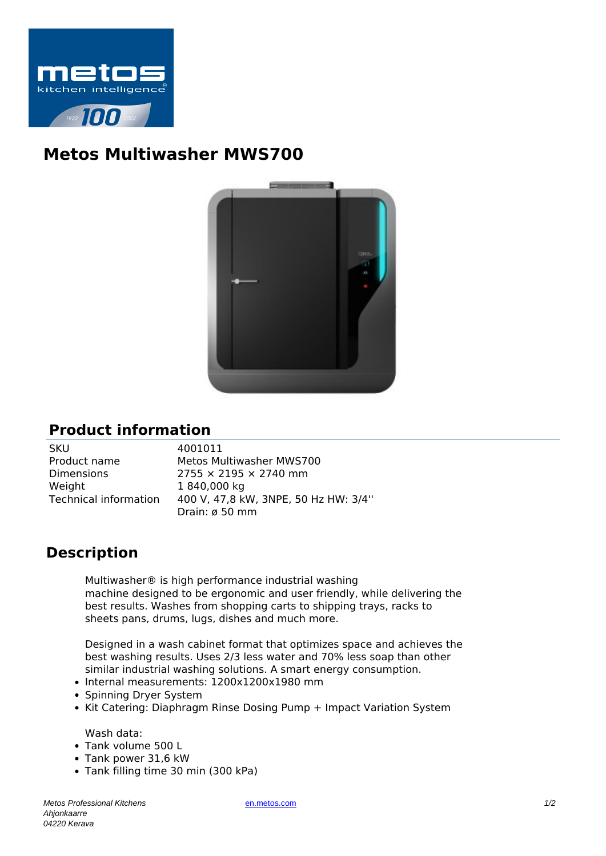

## **Metos Multiwasher MWS700**



## **Product information**

| <b>SKU</b>            |
|-----------------------|
| Product name          |
| Dimensions            |
| Weight                |
| Technical information |
|                       |

4001011 Metos Multiwasher MWS700  $2755 \times 2195 \times 2740$  mm 1 840,000 kg Technical information 400 V, 47,8 kW, 3NPE, 50 Hz HW: 3/4'' Drain: ø 50 mm

## **Description**

Multiwasher® is high performance industrial washing machine designed to be ergonomic and user friendly, while delivering the best results. Washes from shopping carts to shipping trays, racks to sheets pans, drums, lugs, dishes and much more.

Designed in a wash cabinet format that optimizes space and achieves the best washing results. Uses 2/3 less water and 70% less soap than other similar industrial washing solutions. A smart energy consumption.

- Internal measurements: 1200x1200x1980 mm
- Spinning Dryer System
- Kit Catering: Diaphragm Rinse Dosing Pump + Impact Variation System

Wash data:

- Tank volume 500 L
- Tank power 31,6 kW
- Tank filling time 30 min (300 kPa)